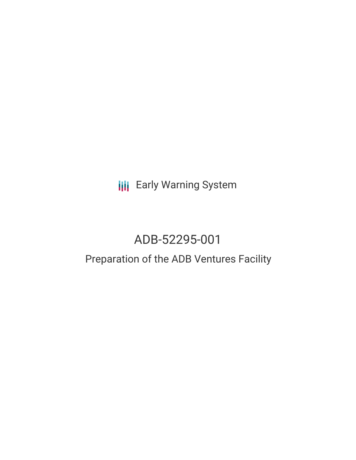# **III** Early Warning System

# ADB-52295-001

## Preparation of the ADB Ventures Facility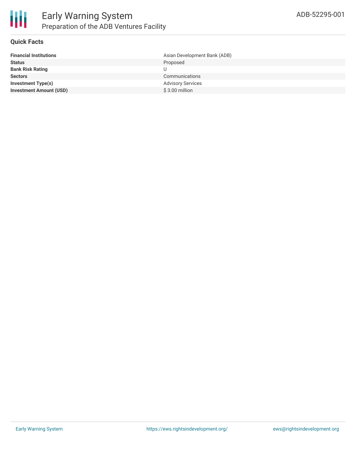

#### **Quick Facts**

| <b>Financial Institutions</b>  | Asian Development Bank (ADB) |
|--------------------------------|------------------------------|
| <b>Status</b>                  | Proposed                     |
| <b>Bank Risk Rating</b>        |                              |
| <b>Sectors</b>                 | Communications               |
| Investment Type(s)             | <b>Advisory Services</b>     |
| <b>Investment Amount (USD)</b> | $$3.00$ million              |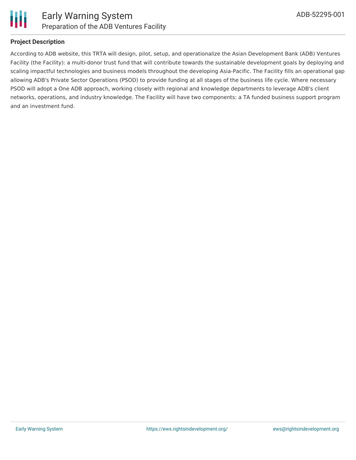

### **Project Description**

According to ADB website, this TRTA will design, pilot, setup, and operationalize the Asian Development Bank (ADB) Ventures Facility (the Facility): a multi-donor trust fund that will contribute towards the sustainable development goals by deploying and scaling impactful technologies and business models throughout the developing Asia-Pacific. The Facility fills an operational gap allowing ADB's Private Sector Operations (PSOD) to provide funding at all stages of the business life cycle. Where necessary PSOD will adopt a One ADB approach, working closely with regional and knowledge departments to leverage ADB's client networks, operations, and industry knowledge. The Facility will have two components: a TA funded business support program and an investment fund.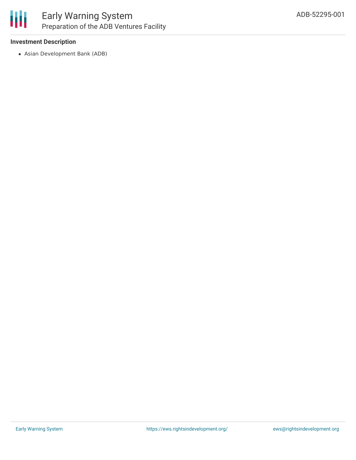

### **Investment Description**

Asian Development Bank (ADB)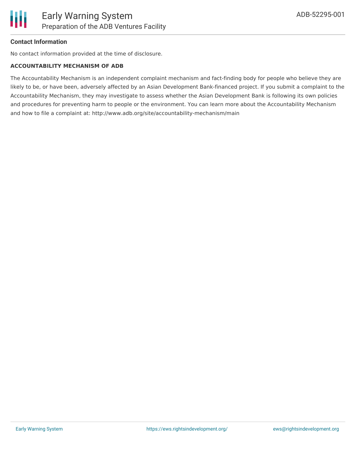

#### **Contact Information**

No contact information provided at the time of disclosure.

#### **ACCOUNTABILITY MECHANISM OF ADB**

The Accountability Mechanism is an independent complaint mechanism and fact-finding body for people who believe they are likely to be, or have been, adversely affected by an Asian Development Bank-financed project. If you submit a complaint to the Accountability Mechanism, they may investigate to assess whether the Asian Development Bank is following its own policies and procedures for preventing harm to people or the environment. You can learn more about the Accountability Mechanism and how to file a complaint at: http://www.adb.org/site/accountability-mechanism/main